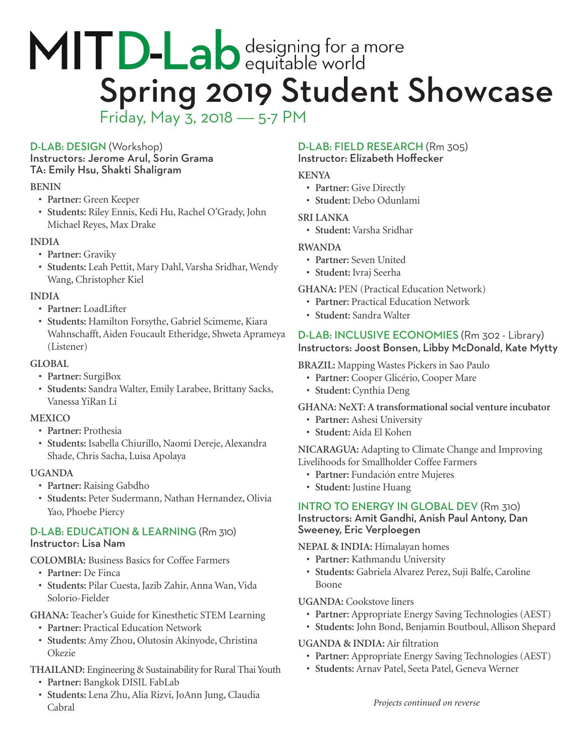# MITD-Lab designing for a more<br>Spring 2019 Student Showcase Friday, May 3, 2018 — 5-7 PM

## D-LAB: DESIGN (Workshop)

Instructors: Jerome Arul, Sorin Grama TA: Emily Hsu, Shakti Shaligram

## **BENIN**

- **• Partner:** Green Keeper
- **• Students:** Riley Ennis, Kedi Hu, Rachel O'Grady, John Michael Reyes, Max Drake

## **INDIA**

- **• Partner:** Graviky
- **• Students:** Leah Pettit, Mary Dahl, Varsha Sridhar, Wendy Wang, Christopher Kiel

## **INDIA**

- **• Partner:** LoadLifter
- **• Students:** Hamilton Forsythe, Gabriel Scimeme, Kiara Wahnschafft, Aiden Foucault Etheridge, Shweta Aprameya (Listener)

## **GLOBAL**

- **• Partner:** SurgiBox
- **• Students:** Sandra Walter, Emily Larabee, Brittany Sacks, Vanessa YiRan Li

## **MEXICO**

- **• Partner:** Prothesia
- **• Students:** Isabella Chiurillo, Naomi Dereje, Alexandra Shade, Chris Sacha, Luisa Apolaya

## **UGANDA**

- **• Partner:** Raising Gabdho
- **• Students:** Peter Sudermann, Nathan Hernandez, Olivia Yao, Phoebe Piercy

#### D-LAB: EDUCATION & LEARNING (Rm 310) Instructor: Lisa Nam

**COLOMBIA:** Business Basics for Coffee Farmers

- **• Partner:** De Finca
- **• Students:** Pilar Cuesta, Jazib Zahir, Anna Wan, Vida Solorio-Fielder

**GHANA:** Teacher's Guide for Kinesthetic STEM Learning

- **• Partner:** Practical Education Network
- **• Students:** Amy Zhou, Olutosin Akinyode, Christina **Okezie**

# **THAILAND:** Engineering & Sustainability for Rural Thai Youth

- **• Partner:** Bangkok DISIL FabLab
- **• Students:** Lena Zhu, Alia Rizvi, JoAnn Jung, Claudia Cabral

# D-LAB: FIELD RESEARCH (Rm 305)

Instructor: Elizabeth Hoffecker

## **KENYA**

- **• Partner:** Give Directly
- **• Student:** Debo Odunlami

## **SRI LANKA**

**• Student:** Varsha Sridhar

## **RWANDA**

- **• Partner:** Seven United
- **• Student:** Ivraj Seerha

## **GHANA:** PEN (Practical Education Network)

- **• Partner:** Practical Education Network
- **• Student:** Sandra Walter

# D-LAB: INCLUSIVE ECONOMIES (Rm 302 - Library) Instructors: Joost Bonsen, Libby McDonald, Kate Mytty

**BRAZIL:** Mapping Wastes Pickers in Sao Paulo

- **• Partner:** Cooper Glicério, Cooper Mare
- **• Student:** Cynthia Deng

## **GHANA: NeXT: A transformational social venture incubator**

- **• Partner:** Ashesi University
- **• Student:** Aida El Kohen

**NICARAGUA:** Adapting to Climate Change and Improving Livelihoods for Smallholder Coffee Farmers

- **• Partner:** Fundación entre Mujeres
- **• Student:** Justine Huang

## INTRO TO ENERGY IN GLOBAL DEV (Rm 310) Instructors: Amit Gandhi, Anish Paul Antony, Dan Sweeney, Eric Verploegen

## **NEPAL & INDIA:** Himalayan homes

- **• Partner:** Kathmandu University
- **• Students:** Gabriela Alvarez Perez, Suji Balfe, Caroline Boone

## **UGANDA:** Cookstove liners

- **• Partner:** Appropriate Energy Saving Technologies (AEST)
- **• Students:** John Bond, Benjamin Boutboul, Allison Shepard

## **UGANDA & INDIA:** Air filtration

- **• Partner:** Appropriate Energy Saving Technologies (AEST)
- **• Students:** Arnav Patel, Seeta Patel, Geneva Werner